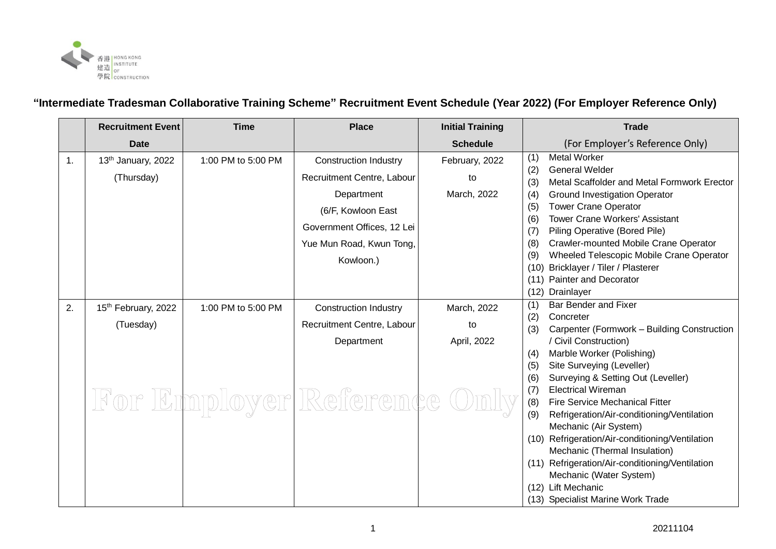

## **"Intermediate Tradesman Collaborative Training Scheme" Recruitment Event Schedule (Year 2022) (For Employer Reference Only)**

|    | <b>Recruitment Event</b>        | <b>Time</b>        | <b>Place</b>                 | <b>Initial Training</b> | <b>Trade</b>                                                                         |
|----|---------------------------------|--------------------|------------------------------|-------------------------|--------------------------------------------------------------------------------------|
|    | <b>Date</b>                     |                    |                              | <b>Schedule</b>         | (For Employer's Reference Only)                                                      |
| 1. | 13th January, 2022              | 1:00 PM to 5:00 PM | <b>Construction Industry</b> | February, 2022          | <b>Metal Worker</b><br>(1)                                                           |
|    | (Thursday)                      |                    | Recruitment Centre, Labour   | to                      | (2)<br><b>General Welder</b><br>(3)<br>Metal Scaffolder and Metal Formwork Erector   |
|    |                                 |                    | Department                   | March, 2022             | <b>Ground Investigation Operator</b><br>(4)                                          |
|    |                                 |                    | (6/F, Kowloon East           |                         | <b>Tower Crane Operator</b><br>(5)                                                   |
|    |                                 |                    | Government Offices, 12 Lei   |                         | <b>Tower Crane Workers' Assistant</b><br>(6)                                         |
|    |                                 |                    | Yue Mun Road, Kwun Tong,     |                         | Piling Operative (Bored Pile)<br>(7)<br>(8)<br>Crawler-mounted Mobile Crane Operator |
|    |                                 |                    | Kowloon.)                    |                         | Wheeled Telescopic Mobile Crane Operator<br>(9)                                      |
|    |                                 |                    |                              |                         | Bricklayer / Tiler / Plasterer<br>(10)                                               |
|    |                                 |                    |                              |                         | Painter and Decorator<br>(11)                                                        |
|    |                                 |                    |                              |                         | (12)<br>Drainlayer                                                                   |
| 2. | 15 <sup>th</sup> February, 2022 | 1:00 PM to 5:00 PM | <b>Construction Industry</b> | March, 2022             | <b>Bar Bender and Fixer</b><br>(1)                                                   |
|    | (Tuesday)                       |                    | Recruitment Centre, Labour   | to                      | (2)<br>Concreter                                                                     |
|    |                                 |                    |                              |                         | (3)<br>Carpenter (Formwork - Building Construction                                   |
|    |                                 |                    | Department                   | April, 2022             | / Civil Construction)                                                                |
|    |                                 |                    |                              |                         | Marble Worker (Polishing)<br>(4)                                                     |
|    |                                 |                    |                              |                         | Site Surveying (Leveller)<br>(5)                                                     |
|    |                                 |                    |                              |                         | Surveying & Setting Out (Leveller)<br>(6)                                            |
|    |                                 |                    |                              |                         | <b>Electrical Wireman</b><br>(7)                                                     |
|    |                                 |                    | For Employer Reference       |                         | (8)<br><b>Fire Service Mechanical Fitter</b>                                         |
|    |                                 |                    |                              |                         | (9)<br>Refrigeration/Air-conditioning/Ventilation                                    |
|    |                                 |                    |                              |                         | Mechanic (Air System)                                                                |
|    |                                 |                    |                              |                         | (10) Refrigeration/Air-conditioning/Ventilation                                      |
|    |                                 |                    |                              |                         | Mechanic (Thermal Insulation)                                                        |
|    |                                 |                    |                              |                         | (11) Refrigeration/Air-conditioning/Ventilation                                      |
|    |                                 |                    |                              |                         | Mechanic (Water System)                                                              |
|    |                                 |                    |                              |                         | (12) Lift Mechanic                                                                   |
|    |                                 |                    |                              |                         | (13) Specialist Marine Work Trade                                                    |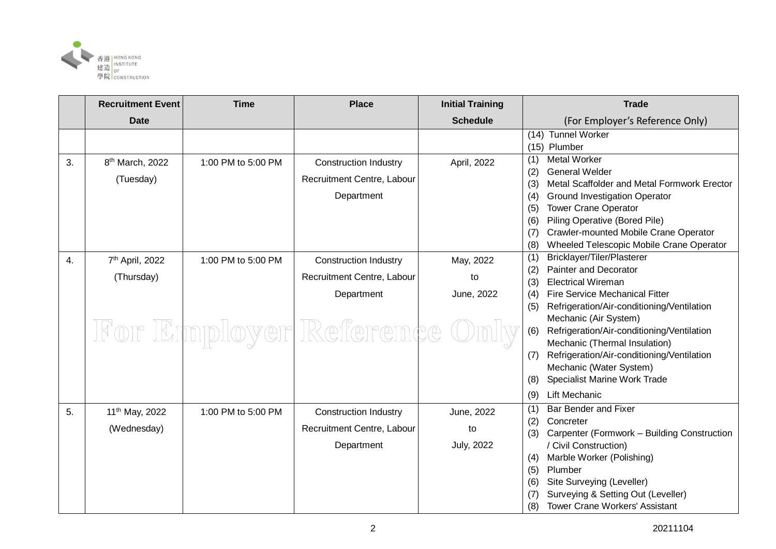

|    | <b>Recruitment Event</b>                 | <b>Time</b>        | <b>Place</b>                                                             | <b>Initial Training</b> | <b>Trade</b>                                                                                                                                                                                                                                                                                                                                     |
|----|------------------------------------------|--------------------|--------------------------------------------------------------------------|-------------------------|--------------------------------------------------------------------------------------------------------------------------------------------------------------------------------------------------------------------------------------------------------------------------------------------------------------------------------------------------|
|    | <b>Date</b>                              |                    |                                                                          | <b>Schedule</b>         | (For Employer's Reference Only)                                                                                                                                                                                                                                                                                                                  |
|    |                                          |                    |                                                                          |                         | (14) Tunnel Worker<br>(15) Plumber                                                                                                                                                                                                                                                                                                               |
| 3. | 8 <sup>th</sup> March, 2022<br>(Tuesday) | 1:00 PM to 5:00 PM | <b>Construction Industry</b><br>Recruitment Centre, Labour<br>Department | April, 2022             | <b>Metal Worker</b><br>(1)<br>(2)<br><b>General Welder</b><br>(3)<br>Metal Scaffolder and Metal Formwork Erector<br><b>Ground Investigation Operator</b><br>(4)<br><b>Tower Crane Operator</b><br>(5)<br>Piling Operative (Bored Pile)<br>(6)<br>Crawler-mounted Mobile Crane Operator<br>(7)<br>Wheeled Telescopic Mobile Crane Operator<br>(8) |
| 4. | 7 <sup>th</sup> April, 2022              | 1:00 PM to 5:00 PM | <b>Construction Industry</b>                                             | May, 2022               | Bricklayer/Tiler/Plasterer<br>(1)                                                                                                                                                                                                                                                                                                                |
|    | (Thursday)                               |                    | Recruitment Centre, Labour                                               | to                      | <b>Painter and Decorator</b><br>(2)<br><b>Electrical Wireman</b><br>(3)                                                                                                                                                                                                                                                                          |
|    |                                          |                    | Department                                                               | June, 2022              | <b>Fire Service Mechanical Fitter</b><br>(4)<br>Refrigeration/Air-conditioning/Ventilation<br>(5)                                                                                                                                                                                                                                                |
|    |                                          |                    | For Employer Reference                                                   |                         | Mechanic (Air System)<br>Refrigeration/Air-conditioning/Ventilation<br>(6)<br>Mechanic (Thermal Insulation)                                                                                                                                                                                                                                      |
|    |                                          |                    |                                                                          |                         | Refrigeration/Air-conditioning/Ventilation<br>(7)<br>Mechanic (Water System)                                                                                                                                                                                                                                                                     |
|    |                                          |                    |                                                                          |                         | Specialist Marine Work Trade<br>(8)<br><b>Lift Mechanic</b><br>(9)                                                                                                                                                                                                                                                                               |
| 5. | 11 <sup>th</sup> May, 2022               | 1:00 PM to 5:00 PM | <b>Construction Industry</b>                                             | June, 2022              | <b>Bar Bender and Fixer</b><br>(1)                                                                                                                                                                                                                                                                                                               |
|    | (Wednesday)                              |                    | Recruitment Centre, Labour                                               | to                      | Concreter<br>(2)<br>Carpenter (Formwork - Building Construction<br>(3)                                                                                                                                                                                                                                                                           |
|    |                                          |                    | Department                                                               | <b>July, 2022</b>       | / Civil Construction)<br>Marble Worker (Polishing)<br>(4)<br>(5)<br>Plumber<br>Site Surveying (Leveller)<br>(6)<br>Surveying & Setting Out (Leveller)<br>(7)                                                                                                                                                                                     |
|    |                                          |                    |                                                                          |                         | (8)<br><b>Tower Crane Workers' Assistant</b>                                                                                                                                                                                                                                                                                                     |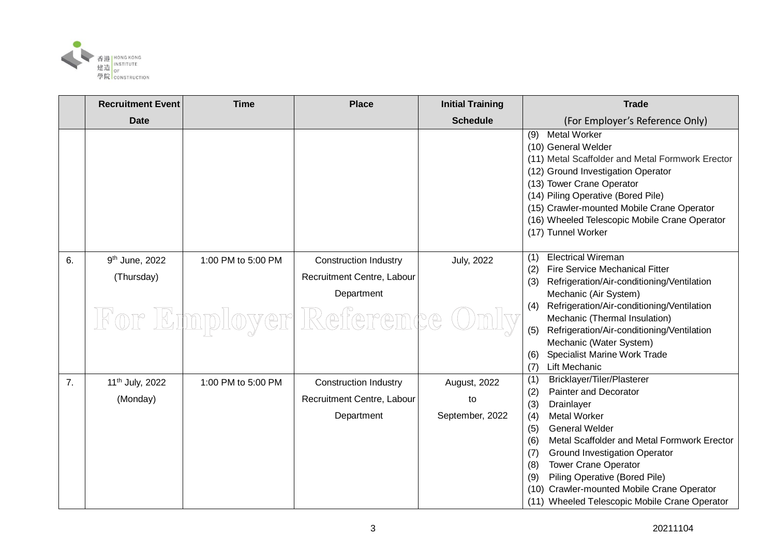

|    | <b>Recruitment Event</b>    | <b>Time</b>        | <b>Place</b>                 | <b>Initial Training</b> | <b>Trade</b>                                                                                                                                                                                                                                                                                                                        |
|----|-----------------------------|--------------------|------------------------------|-------------------------|-------------------------------------------------------------------------------------------------------------------------------------------------------------------------------------------------------------------------------------------------------------------------------------------------------------------------------------|
|    | <b>Date</b>                 |                    |                              | <b>Schedule</b>         | (For Employer's Reference Only)                                                                                                                                                                                                                                                                                                     |
|    |                             |                    |                              |                         | <b>Metal Worker</b><br>(9)<br>(10) General Welder<br>(11) Metal Scaffolder and Metal Formwork Erector<br>(12) Ground Investigation Operator<br>(13) Tower Crane Operator<br>(14) Piling Operative (Bored Pile)<br>(15) Crawler-mounted Mobile Crane Operator<br>(16) Wheeled Telescopic Mobile Crane Operator<br>(17) Tunnel Worker |
| 6. | 9 <sup>th</sup> June, 2022  | 1:00 PM to 5:00 PM | <b>Construction Industry</b> | <b>July, 2022</b>       | <b>Electrical Wireman</b><br>(1)                                                                                                                                                                                                                                                                                                    |
|    | (Thursday)                  |                    | Recruitment Centre, Labour   |                         | <b>Fire Service Mechanical Fitter</b><br>(2)<br>Refrigeration/Air-conditioning/Ventilation<br>(3)                                                                                                                                                                                                                                   |
|    |                             |                    | Department                   |                         | Mechanic (Air System)                                                                                                                                                                                                                                                                                                               |
|    |                             |                    | For Employer Reference       |                         | Refrigeration/Air-conditioning/Ventilation<br>(4)<br>Mechanic (Thermal Insulation)                                                                                                                                                                                                                                                  |
|    |                             |                    |                              |                         | Refrigeration/Air-conditioning/Ventilation<br>(5)<br>Mechanic (Water System)                                                                                                                                                                                                                                                        |
|    |                             |                    |                              |                         | Specialist Marine Work Trade<br>(6)                                                                                                                                                                                                                                                                                                 |
|    |                             |                    |                              |                         | <b>Lift Mechanic</b><br>(7)                                                                                                                                                                                                                                                                                                         |
| 7. | 11 <sup>th</sup> July, 2022 | 1:00 PM to 5:00 PM | <b>Construction Industry</b> | August, 2022            | Bricklayer/Tiler/Plasterer<br>(1)<br><b>Painter and Decorator</b>                                                                                                                                                                                                                                                                   |
|    | (Monday)                    |                    | Recruitment Centre, Labour   | to                      | (2)<br>(3)<br>Drainlayer                                                                                                                                                                                                                                                                                                            |
|    |                             |                    | Department                   | September, 2022         | <b>Metal Worker</b><br>(4)                                                                                                                                                                                                                                                                                                          |
|    |                             |                    |                              |                         | <b>General Welder</b><br>(5)                                                                                                                                                                                                                                                                                                        |
|    |                             |                    |                              |                         | Metal Scaffolder and Metal Formwork Erector<br>(6)                                                                                                                                                                                                                                                                                  |
|    |                             |                    |                              |                         | (7)<br><b>Ground Investigation Operator</b>                                                                                                                                                                                                                                                                                         |
|    |                             |                    |                              |                         | <b>Tower Crane Operator</b><br>(8)<br>Piling Operative (Bored Pile)<br>(9)                                                                                                                                                                                                                                                          |
|    |                             |                    |                              |                         | Crawler-mounted Mobile Crane Operator<br>(10)                                                                                                                                                                                                                                                                                       |
|    |                             |                    |                              |                         | (11) Wheeled Telescopic Mobile Crane Operator                                                                                                                                                                                                                                                                                       |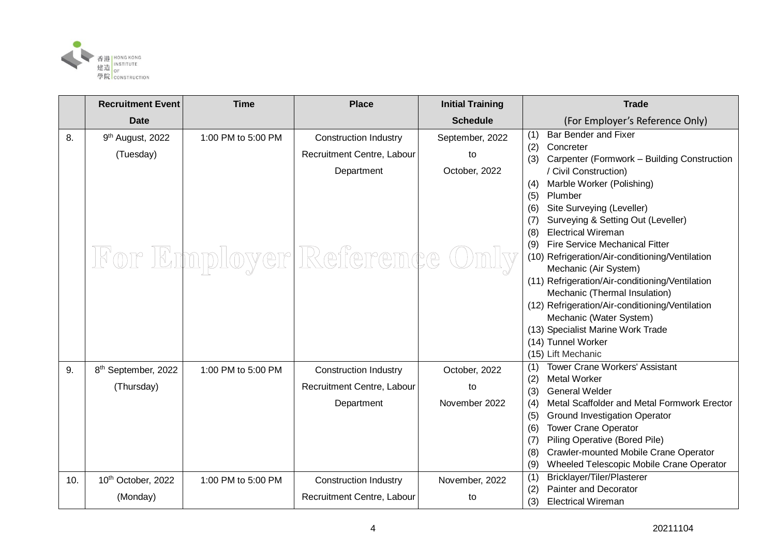

|     | <b>Recruitment Event</b>                  | <b>Time</b>        | <b>Place</b>                                               | <b>Initial Training</b> | <b>Trade</b>                                                                                                                                                                                                                                                                                                                                                                                                                                                                                                                                                                           |
|-----|-------------------------------------------|--------------------|------------------------------------------------------------|-------------------------|----------------------------------------------------------------------------------------------------------------------------------------------------------------------------------------------------------------------------------------------------------------------------------------------------------------------------------------------------------------------------------------------------------------------------------------------------------------------------------------------------------------------------------------------------------------------------------------|
|     | <b>Date</b>                               |                    |                                                            | <b>Schedule</b>         | (For Employer's Reference Only)                                                                                                                                                                                                                                                                                                                                                                                                                                                                                                                                                        |
| 8.  | 9 <sup>th</sup> August, 2022<br>(Tuesday) | 1:00 PM to 5:00 PM | <b>Construction Industry</b><br>Recruitment Centre, Labour | September, 2022<br>to   | <b>Bar Bender and Fixer</b><br>(1)<br>(2)<br>Concreter<br>Carpenter (Formwork - Building Construction                                                                                                                                                                                                                                                                                                                                                                                                                                                                                  |
|     |                                           |                    | Department<br>For Employer Reference Only                  | October, 2022           | (3)<br>/ Civil Construction)<br>Marble Worker (Polishing)<br>(4)<br>Plumber<br>(5)<br>Site Surveying (Leveller)<br>(6)<br>Surveying & Setting Out (Leveller)<br>(7)<br><b>Electrical Wireman</b><br>(8)<br><b>Fire Service Mechanical Fitter</b><br>(9)<br>(10) Refrigeration/Air-conditioning/Ventilation<br>Mechanic (Air System)<br>(11) Refrigeration/Air-conditioning/Ventilation<br>Mechanic (Thermal Insulation)<br>(12) Refrigeration/Air-conditioning/Ventilation<br>Mechanic (Water System)<br>(13) Specialist Marine Work Trade<br>(14) Tunnel Worker<br>(15) Lift Mechanic |
| 9.  | 8 <sup>th</sup> September, 2022           | 1:00 PM to 5:00 PM | <b>Construction Industry</b>                               | October, 2022           | <b>Tower Crane Workers' Assistant</b><br>(1)<br><b>Metal Worker</b><br>(2)                                                                                                                                                                                                                                                                                                                                                                                                                                                                                                             |
|     | (Thursday)                                |                    | Recruitment Centre, Labour                                 | to                      | <b>General Welder</b><br>(3)                                                                                                                                                                                                                                                                                                                                                                                                                                                                                                                                                           |
|     |                                           |                    | Department                                                 | November 2022           | Metal Scaffolder and Metal Formwork Erector<br>(4)                                                                                                                                                                                                                                                                                                                                                                                                                                                                                                                                     |
|     |                                           |                    |                                                            |                         | <b>Ground Investigation Operator</b><br>(5)                                                                                                                                                                                                                                                                                                                                                                                                                                                                                                                                            |
|     |                                           |                    |                                                            |                         | <b>Tower Crane Operator</b><br>(6)<br>Piling Operative (Bored Pile)<br>(7)                                                                                                                                                                                                                                                                                                                                                                                                                                                                                                             |
|     |                                           |                    |                                                            |                         | Crawler-mounted Mobile Crane Operator<br>(8)                                                                                                                                                                                                                                                                                                                                                                                                                                                                                                                                           |
|     |                                           |                    |                                                            |                         | Wheeled Telescopic Mobile Crane Operator<br>(9)                                                                                                                                                                                                                                                                                                                                                                                                                                                                                                                                        |
| 10. | 10th October, 2022                        | 1:00 PM to 5:00 PM | <b>Construction Industry</b>                               | November, 2022          | Bricklayer/Tiler/Plasterer<br>(1)                                                                                                                                                                                                                                                                                                                                                                                                                                                                                                                                                      |
|     | (Monday)                                  |                    | Recruitment Centre, Labour                                 | to                      | Painter and Decorator<br>(2)<br>(3)<br><b>Electrical Wireman</b>                                                                                                                                                                                                                                                                                                                                                                                                                                                                                                                       |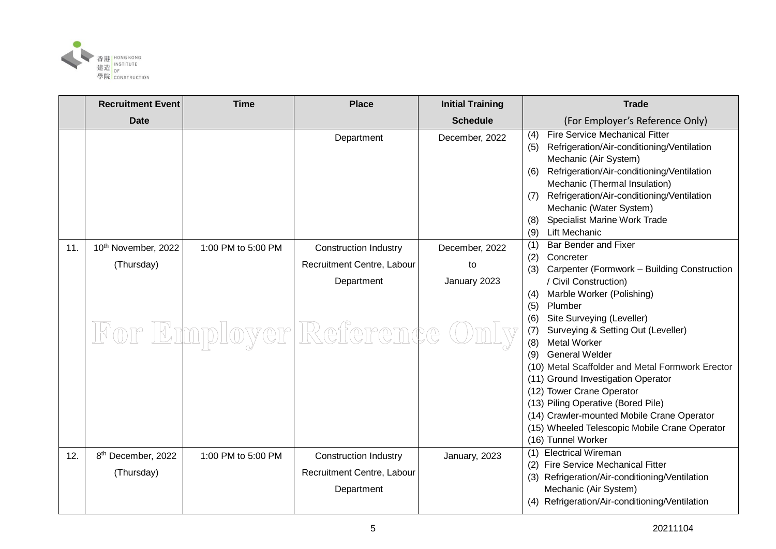

|     | <b>Recruitment Event</b>       | <b>Time</b>        | <b>Place</b>                 | <b>Initial Training</b> | <b>Trade</b>                                                                                                                                                                                                                                                                                                                                                                                                           |
|-----|--------------------------------|--------------------|------------------------------|-------------------------|------------------------------------------------------------------------------------------------------------------------------------------------------------------------------------------------------------------------------------------------------------------------------------------------------------------------------------------------------------------------------------------------------------------------|
|     | <b>Date</b>                    |                    |                              | <b>Schedule</b>         | (For Employer's Reference Only)                                                                                                                                                                                                                                                                                                                                                                                        |
|     |                                |                    | Department                   | December, 2022          | <b>Fire Service Mechanical Fitter</b><br>(4)<br>Refrigeration/Air-conditioning/Ventilation<br>(5)<br>Mechanic (Air System)<br>Refrigeration/Air-conditioning/Ventilation<br>(6)<br>Mechanic (Thermal Insulation)<br>Refrigeration/Air-conditioning/Ventilation<br>(7)<br>Mechanic (Water System)<br>Specialist Marine Work Trade<br>(8)<br><b>Lift Mechanic</b><br>(9)                                                 |
| 11. | 10th November, 2022            | 1:00 PM to 5:00 PM | <b>Construction Industry</b> | December, 2022          | Bar Bender and Fixer<br>(1)                                                                                                                                                                                                                                                                                                                                                                                            |
|     | (Thursday)                     |                    | Recruitment Centre, Labour   | to                      | (2)<br>Concreter<br>Carpenter (Formwork - Building Construction<br>(3)                                                                                                                                                                                                                                                                                                                                                 |
|     |                                |                    | Department                   | January 2023            | / Civil Construction)                                                                                                                                                                                                                                                                                                                                                                                                  |
|     |                                |                    |                              |                         | Marble Worker (Polishing)<br>(4)<br>(5)<br>Plumber                                                                                                                                                                                                                                                                                                                                                                     |
|     |                                |                    | For Employer Reference Only  |                         | Site Surveying (Leveller)<br>(6)<br>(7)<br>Surveying & Setting Out (Leveller)<br>Metal Worker<br>(8)<br><b>General Welder</b><br>(9)<br>(10) Metal Scaffolder and Metal Formwork Erector<br>(11) Ground Investigation Operator<br>(12) Tower Crane Operator<br>(13) Piling Operative (Bored Pile)<br>(14) Crawler-mounted Mobile Crane Operator<br>(15) Wheeled Telescopic Mobile Crane Operator<br>(16) Tunnel Worker |
| 12. | 8 <sup>th</sup> December, 2022 | 1:00 PM to 5:00 PM | <b>Construction Industry</b> | January, 2023           | (1) Electrical Wireman<br>(2) Fire Service Mechanical Fitter                                                                                                                                                                                                                                                                                                                                                           |
|     | (Thursday)                     |                    | Recruitment Centre, Labour   |                         | (3) Refrigeration/Air-conditioning/Ventilation                                                                                                                                                                                                                                                                                                                                                                         |
|     |                                |                    | Department                   |                         | Mechanic (Air System)<br>(4) Refrigeration/Air-conditioning/Ventilation                                                                                                                                                                                                                                                                                                                                                |